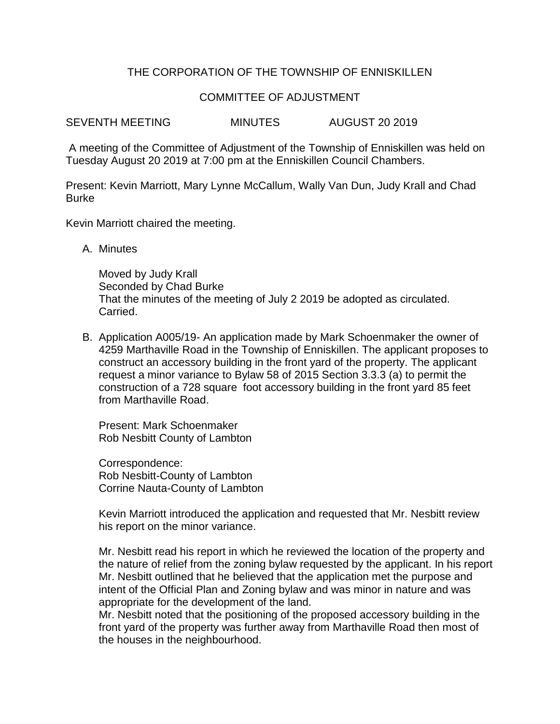# THE CORPORATION OF THE TOWNSHIP OF ENNISKILLEN

### COMMITTEE OF ADJUSTMENT

SEVENTH MEETING MINUTES AUGUST 20 2019

A meeting of the Committee of Adjustment of the Township of Enniskillen was held on Tuesday August 20 2019 at 7:00 pm at the Enniskillen Council Chambers.

Present: Kevin Marriott, Mary Lynne McCallum, Wally Van Dun, Judy Krall and Chad Burke

Kevin Marriott chaired the meeting.

A. Minutes

Moved by Judy Krall Seconded by Chad Burke That the minutes of the meeting of July 2 2019 be adopted as circulated. Carried.

B. Application A005/19- An application made by Mark Schoenmaker the owner of 4259 Marthaville Road in the Township of Enniskillen. The applicant proposes to construct an accessory building in the front yard of the property. The applicant request a minor variance to Bylaw 58 of 2015 Section 3.3.3 (a) to permit the construction of a 728 square foot accessory building in the front yard 85 feet from Marthaville Road.

Present: Mark Schoenmaker Rob Nesbitt County of Lambton

Correspondence: Rob Nesbitt-County of Lambton Corrine Nauta-County of Lambton

Kevin Marriott introduced the application and requested that Mr. Nesbitt review his report on the minor variance.

Mr. Nesbitt read his report in which he reviewed the location of the property and the nature of relief from the zoning bylaw requested by the applicant. In his report Mr. Nesbitt outlined that he believed that the application met the purpose and intent of the Official Plan and Zoning bylaw and was minor in nature and was appropriate for the development of the land.

Mr. Nesbitt noted that the positioning of the proposed accessory building in the front yard of the property was further away from Marthaville Road then most of the houses in the neighbourhood.